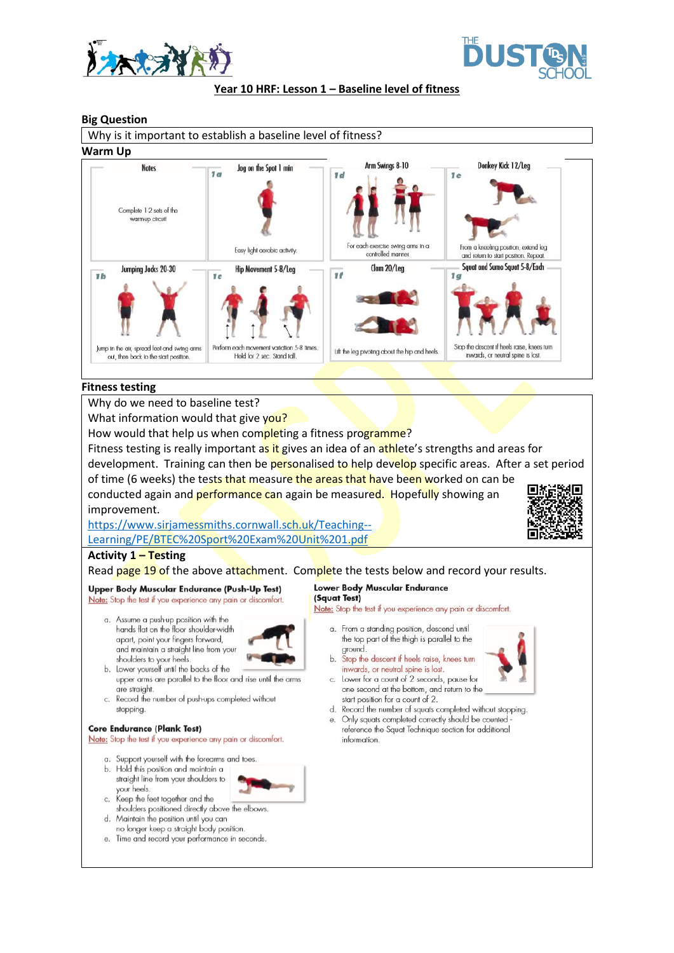



**Year 10 HRF: Lesson 1 – Baseline level of fitness**

### **Big Question**



### **Fitness testing**

Why do we need to baseline test?

What information would that give you?

How would that help us when completing a fitness programme?

Fitness testing is really important as it gives an idea of an athlete's strengths and areas for

development. Training can then be personalised to help develop specific areas. After a set period of time (6 weeks) the tests that measure the areas that have been worked on can be

conducted again and performance can again be measured. Hopefully showing an improvement.

[https://www.sirjamessmiths.cornwall.sch.uk/Teaching--](https://www.sirjamessmiths.cornwall.sch.uk/Teaching--Learning/PE/BTEC%20Sport%20Exam%20Unit%201.pdf) [Learning/PE/BTEC%20Sport%20Exam%20Unit%201.pdf](https://www.sirjamessmiths.cornwall.sch.uk/Teaching--Learning/PE/BTEC%20Sport%20Exam%20Unit%201.pdf)



# **Activity 1 – Testing**

Read page 19 of the above attachment. Complete the tests below and record your results.

# Upper Body Muscular Endurance (Push-Up Test)

Note: Stop the test if you experience any pain or discomfort.

a. Assume a push-up position with the hands flat on the floor shoulder-width apart, point your fingers forward, and maintain a straight line from your shoulders to your heels.



- b. Lower yourself until the backs of the upper arms are parallel to the floor and rise until the arms are straight.
- c. Record the number of push-ups completed without stopping.

#### **Core Endurance (Plank Test)**

Note: Stop the test if you experience any pain or discomfort.

a. Support yourself with the forearms and toes

b. Hold this position and maintain a straight line from your shoulders to your heels

- Keep the feet together and the C. shoulders positioned directly above the elbows. d. Maintain the position until you can
- no longer keep a straight body position.
- Time and record your performance in seconds.  $\ddot{e}$ .

#### Lower Body Muscular Endurance (Squat Test)

Note: Stop the test if you experience any pain or discomfort.

- a. From a standing position, descend until the top part of the thigh is parallel to the ground.
- b. Stop the descent if heels raise, knees turn inwards, or neutral spine is lost. c. Lower for a count of 2 seconds, pause for



- one second at the bottom, and return to the start position for a count of 2. d. Record the number of squats completed without stopping.
- e. Only squats completed correctly should be counted reference the Squat Technique section for additional information.